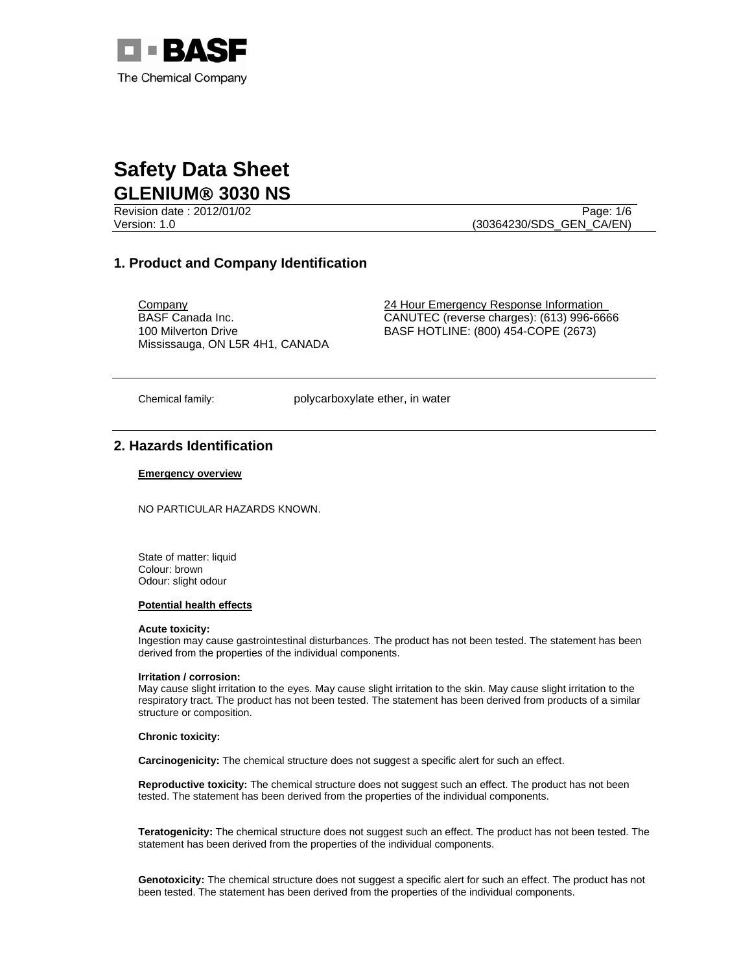

Revision date : 2012/01/02 Page: 1/6

Version: 1.0 (30364230/SDS\_GEN\_CA/EN)

## **1. Product and Company Identification**

BASF Canada Inc. 100 Milverton Drive Mississauga, ON L5R 4H1, CANADA

**Company** 24 Hour Emergency Response Information CANUTEC (reverse charges): (613) 996-6666 BASF HOTLINE: (800) 454-COPE (2673)

Chemical family: polycarboxylate ether, in water

# **2. Hazards Identification**

#### **Emergency overview**

NO PARTICULAR HAZARDS KNOWN.

State of matter: liquid Colour: brown Odour: slight odour

#### **Potential health effects**

#### **Acute toxicity:**

Ingestion may cause gastrointestinal disturbances. The product has not been tested. The statement has been derived from the properties of the individual components.

#### **Irritation / corrosion:**

May cause slight irritation to the eyes. May cause slight irritation to the skin. May cause slight irritation to the respiratory tract. The product has not been tested. The statement has been derived from products of a similar structure or composition.

#### **Chronic toxicity:**

**Carcinogenicity:** The chemical structure does not suggest a specific alert for such an effect.

**Reproductive toxicity:** The chemical structure does not suggest such an effect. The product has not been tested. The statement has been derived from the properties of the individual components.

**Teratogenicity:** The chemical structure does not suggest such an effect. The product has not been tested. The statement has been derived from the properties of the individual components.

**Genotoxicity:** The chemical structure does not suggest a specific alert for such an effect. The product has not been tested. The statement has been derived from the properties of the individual components.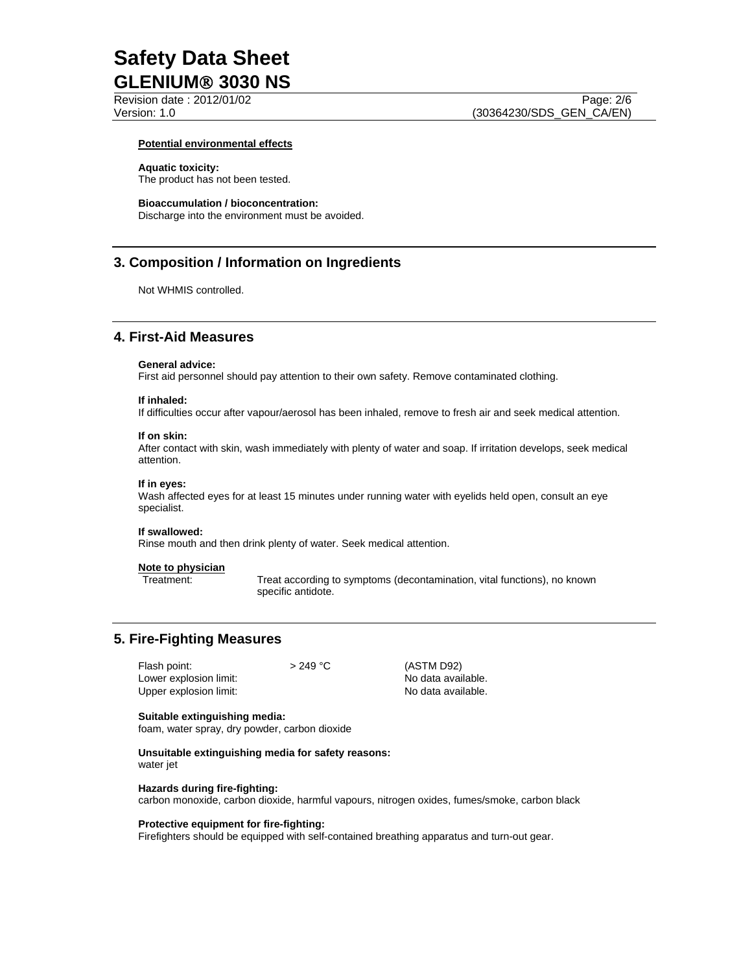Revision date : 2012/01/02 Page: 2/6

#### **Potential environmental effects**

#### **Aquatic toxicity:**

The product has not been tested.

#### **Bioaccumulation / bioconcentration:**

Discharge into the environment must be avoided.

## **3. Composition / Information on Ingredients**

Not WHMIS controlled.

## **4. First-Aid Measures**

#### **General advice:**

First aid personnel should pay attention to their own safety. Remove contaminated clothing.

#### **If inhaled:**

If difficulties occur after vapour/aerosol has been inhaled, remove to fresh air and seek medical attention.

#### **If on skin:**

After contact with skin, wash immediately with plenty of water and soap. If irritation develops, seek medical attention.

#### **If in eyes:**

Wash affected eyes for at least 15 minutes under running water with eyelids held open, consult an eye specialist.

#### **If swallowed:**

Rinse mouth and then drink plenty of water. Seek medical attention.

# **Note to physician**

Treat according to symptoms (decontamination, vital functions), no known specific antidote.

### **5. Fire-Fighting Measures**

| Flash point:           | $>249^{\circ}$ C |
|------------------------|------------------|
| Lower explosion limit: |                  |
| Upper explosion limit: |                  |

(ASTM D92) No data available. No data available.

#### **Suitable extinguishing media:**

foam, water spray, dry powder, carbon dioxide

#### **Unsuitable extinguishing media for safety reasons:**  water jet

**Hazards during fire-fighting:** 

carbon monoxide, carbon dioxide, harmful vapours, nitrogen oxides, fumes/smoke, carbon black

#### **Protective equipment for fire-fighting:**

Firefighters should be equipped with self-contained breathing apparatus and turn-out gear.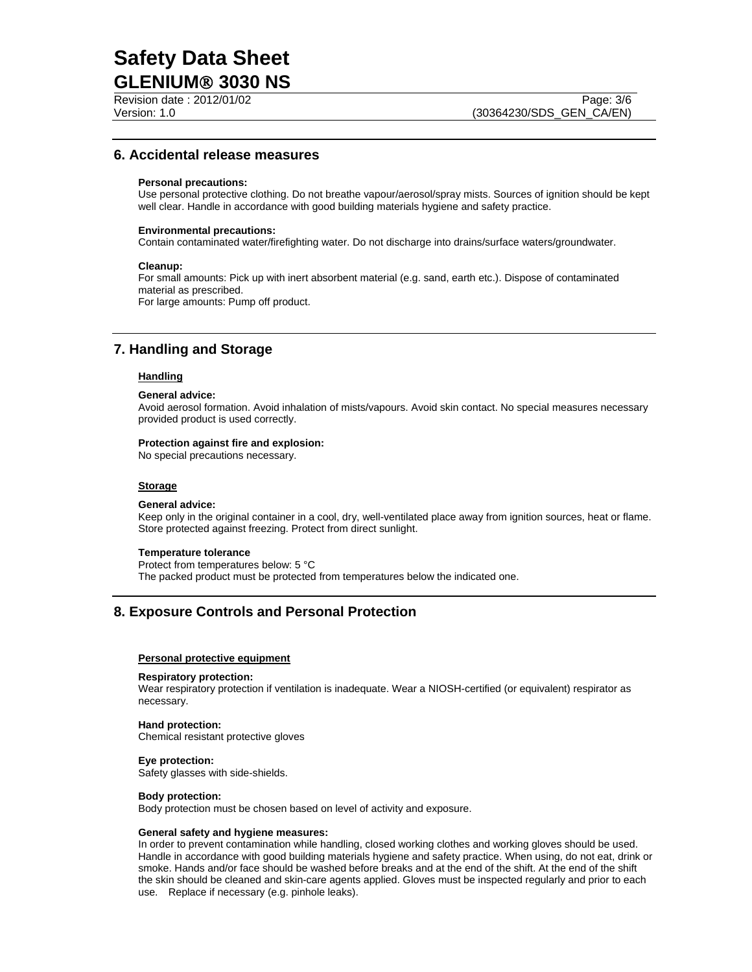Revision date : 2012/01/02 Page: 3/6

## **6. Accidental release measures**

#### **Personal precautions:**

Use personal protective clothing. Do not breathe vapour/aerosol/spray mists. Sources of ignition should be kept well clear. Handle in accordance with good building materials hygiene and safety practice.

#### **Environmental precautions:**

Contain contaminated water/firefighting water. Do not discharge into drains/surface waters/groundwater.

#### **Cleanup:**

For small amounts: Pick up with inert absorbent material (e.g. sand, earth etc.). Dispose of contaminated material as prescribed. For large amounts: Pump off product.

# **7. Handling and Storage**

### **Handling**

#### **General advice:**

Avoid aerosol formation. Avoid inhalation of mists/vapours. Avoid skin contact. No special measures necessary provided product is used correctly.

#### **Protection against fire and explosion:**

No special precautions necessary.

#### **Storage**

#### **General advice:**

Keep only in the original container in a cool, dry, well-ventilated place away from ignition sources, heat or flame. Store protected against freezing. Protect from direct sunlight.

#### **Temperature tolerance**

Protect from temperatures below: 5 °C

The packed product must be protected from temperatures below the indicated one.

# **8. Exposure Controls and Personal Protection**

#### **Personal protective equipment**

#### **Respiratory protection:**

Wear respiratory protection if ventilation is inadequate. Wear a NIOSH-certified (or equivalent) respirator as necessary.

#### **Hand protection:**

Chemical resistant protective gloves

#### **Eye protection:**

Safety glasses with side-shields.

#### **Body protection:**

Body protection must be chosen based on level of activity and exposure.

#### **General safety and hygiene measures:**

In order to prevent contamination while handling, closed working clothes and working gloves should be used. Handle in accordance with good building materials hygiene and safety practice. When using, do not eat, drink or smoke. Hands and/or face should be washed before breaks and at the end of the shift. At the end of the shift the skin should be cleaned and skin-care agents applied. Gloves must be inspected regularly and prior to each use. Replace if necessary (e.g. pinhole leaks).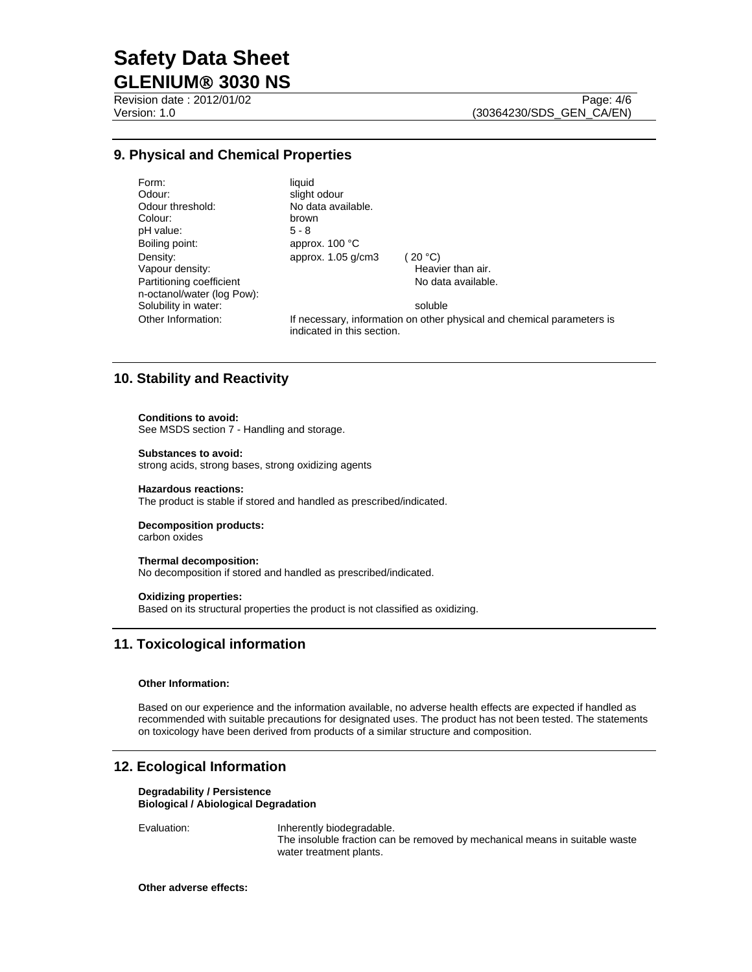Revision date : 2012/01/02 Page: 4/6

# **9. Physical and Chemical Properties**

Form: liquid<br>Odour: liquid slight Odour threshold: No data available. Colour:<br>
pH value:<br>
5 - 8 pH value: Boiling point: approx. 100 °C Density: approx. 1.05 g/cm3 (20 °C)<br>Vapour density: Heavi Partitioning coefficient n-octanol/water (log Pow): Solubility in water: soluble

Heavier than air. No data available.

Other Information: If necessary, information on other physical and chemical parameters is indicated in this section.

# **10. Stability and Reactivity**

#### **Conditions to avoid:**

See MSDS section 7 - Handling and storage.

#### **Substances to avoid:**

strong acids, strong bases, strong oxidizing agents

#### **Hazardous reactions:**

The product is stable if stored and handled as prescribed/indicated.

slight odour

### **Decomposition products:**

carbon oxides

#### **Thermal decomposition:**

No decomposition if stored and handled as prescribed/indicated.

#### **Oxidizing properties:**

Based on its structural properties the product is not classified as oxidizing.

## **11. Toxicological information**

#### **Other Information:**

Based on our experience and the information available, no adverse health effects are expected if handled as recommended with suitable precautions for designated uses. The product has not been tested. The statements on toxicology have been derived from products of a similar structure and composition.

## **12. Ecological Information**

#### **Degradability / Persistence Biological / Abiological Degradation**

Evaluation: Inherently biodegradable. The insoluble fraction can be removed by mechanical means in suitable waste water treatment plants.

#### **Other adverse effects:**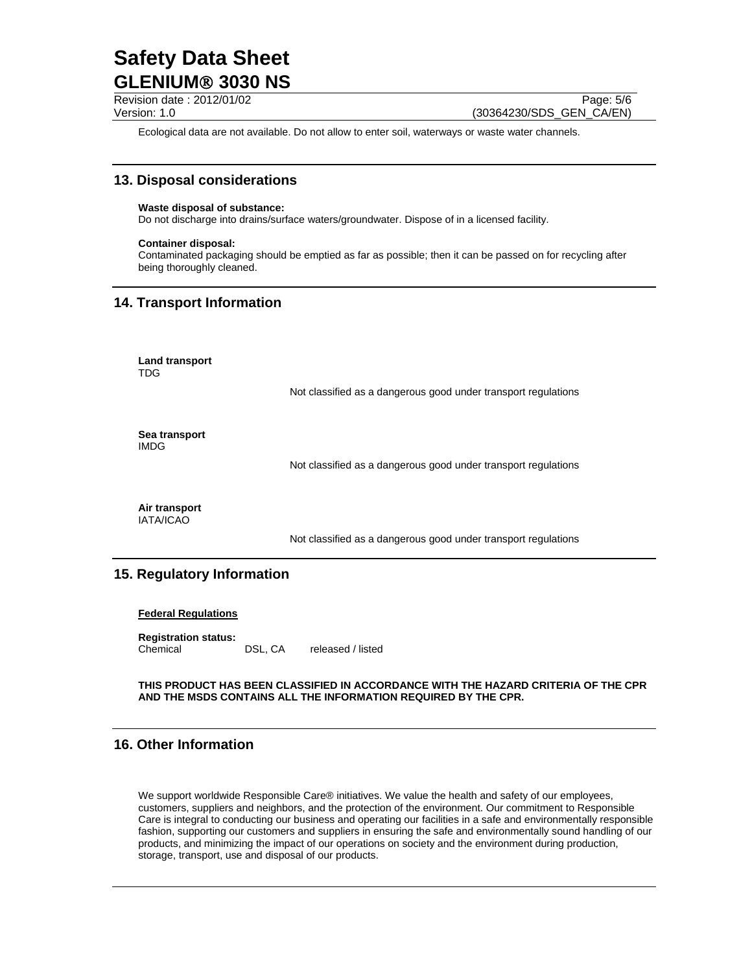Revision date : 2012/01/02 Page: 5/6 Version: 1.0 (30364230/SDS\_GEN\_CA/EN)

Ecological data are not available. Do not allow to enter soil, waterways or waste water channels.

## **13. Disposal considerations**

#### **Waste disposal of substance:**

Do not discharge into drains/surface waters/groundwater. Dispose of in a licensed facility.

#### **Container disposal:**

Contaminated packaging should be emptied as far as possible; then it can be passed on for recycling after being thoroughly cleaned.

## **14. Transport Information**

**Land transport**  TDG

Not classified as a dangerous good under transport regulations

**Sea transport**  IMDG

Not classified as a dangerous good under transport regulations

**Air transport**  IATA/ICAO

Not classified as a dangerous good under transport regulations

# **15. Regulatory Information**

#### **Federal Regulations**

**Registration status:**  Chemical DSL, CA released / listed

**THIS PRODUCT HAS BEEN CLASSIFIED IN ACCORDANCE WITH THE HAZARD CRITERIA OF THE CPR AND THE MSDS CONTAINS ALL THE INFORMATION REQUIRED BY THE CPR.**

# **16. Other Information**

We support worldwide Responsible Care® initiatives. We value the health and safety of our employees, customers, suppliers and neighbors, and the protection of the environment. Our commitment to Responsible Care is integral to conducting our business and operating our facilities in a safe and environmentally responsible fashion, supporting our customers and suppliers in ensuring the safe and environmentally sound handling of our products, and minimizing the impact of our operations on society and the environment during production, storage, transport, use and disposal of our products.